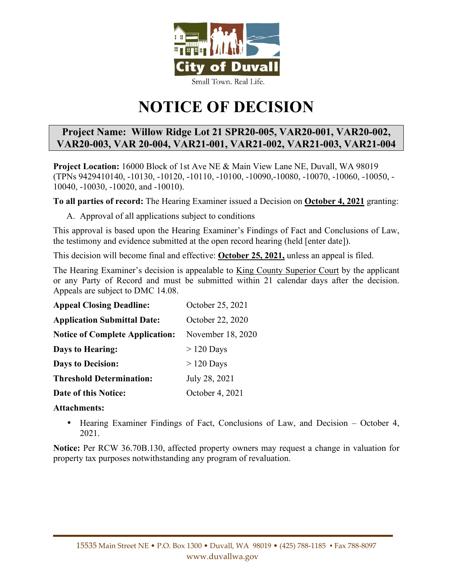

# **NOTICE OF DECISION**

# **Project Name: Willow Ridge Lot 21 SPR20-005, VAR20-001, VAR20-002, VAR20-003, VAR 20-004, VAR21-001, VAR21-002, VAR21-003, VAR21-004**

**Project Location:** 16000 Block of 1st Ave NE & Main View Lane NE, Duvall, WA 98019 (TPNs 9429410140, -10130, -10120, -10110, -10100, -10090,-10080, -10070, -10060, -10050, - 10040, -10030, -10020, and -10010).

**To all parties of record:** The Hearing Examiner issued a Decision on **October 4, 2021** granting:

A. Approval of all applications subject to conditions

This approval is based upon the Hearing Examiner's Findings of Fact and Conclusions of Law, the testimony and evidence submitted at the open record hearing (held [enter date]).

This decision will become final and effective: **October 25, 2021,** unless an appeal is filed.

The Hearing Examiner's decision is appealable to King County Superior Court by the applicant or any Party of Record and must be submitted within 21 calendar days after the decision. Appeals are subject to DMC 14.08.

| <b>Appeal Closing Deadline:</b>        | October 25, 2021  |
|----------------------------------------|-------------------|
| <b>Application Submittal Date:</b>     | October 22, 2020  |
| <b>Notice of Complete Application:</b> | November 18, 2020 |
| <b>Days to Hearing:</b>                | $>120$ Days       |
| <b>Days to Decision:</b>               | $>120$ Days       |
| <b>Threshold Determination:</b>        | July 28, 2021     |
| Date of this Notice:                   | October 4, 2021   |

## **Attachments:**

• Hearing Examiner Findings of Fact, Conclusions of Law, and Decision – October 4, 2021.

**Notice:** Per RCW 36.70B.130, affected property owners may request a change in valuation for property tax purposes notwithstanding any program of revaluation.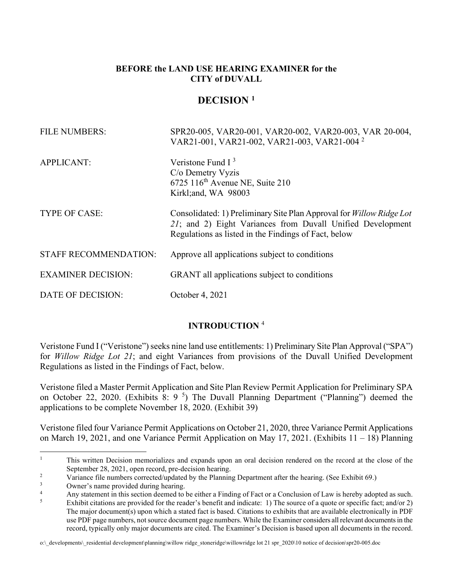## **BEFORE the LAND USE HEARING EXAMINER for the CITY of DUVALL**

# **DECISION <sup>1</sup>**

| <b>FILE NUMBERS:</b>         | SPR20-005, VAR20-001, VAR20-002, VAR20-003, VAR 20-004,<br>VAR21-001, VAR21-002, VAR21-003, VAR21-004 <sup>2</sup>                                                                         |
|------------------------------|--------------------------------------------------------------------------------------------------------------------------------------------------------------------------------------------|
| <b>APPLICANT:</b>            | Veristone Fund $I3$<br>C/o Demetry Vyzis<br>$6725$ 116 <sup>th</sup> Avenue NE, Suite 210<br>Kirkl; and, WA 98003                                                                          |
| <b>TYPE OF CASE:</b>         | Consolidated: 1) Preliminary Site Plan Approval for Willow Ridge Lot<br>21; and 2) Eight Variances from Duvall Unified Development<br>Regulations as listed in the Findings of Fact, below |
| <b>STAFF RECOMMENDATION:</b> | Approve all applications subject to conditions                                                                                                                                             |
| <b>EXAMINER DECISION:</b>    | GRANT all applications subject to conditions                                                                                                                                               |
| DATE OF DECISION:            | October 4, 2021                                                                                                                                                                            |

## **INTRODUCTION** <sup>4</sup>

Veristone Fund I ("Veristone") seeks nine land use entitlements: 1) Preliminary Site Plan Approval ("SPA") for *Willow Ridge Lot 21*; and eight Variances from provisions of the Duvall Unified Development Regulations as listed in the Findings of Fact, below.

Veristone filed a Master Permit Application and Site Plan Review Permit Application for Preliminary SPA on October 22, 2020. (Exhibits 8: 9<sup>5</sup>) The Duvall Planning Department ("Planning") deemed the applications to be complete November 18, 2020. (Exhibit 39)

Veristone filed four Variance Permit Applications on October 21, 2020, three Variance Permit Applications on March 19, 2021, and one Variance Permit Application on May 17, 2021. (Exhibits 11 – 18) Planning

<sup>1</sup> This written Decision memorializes and expands upon an oral decision rendered on the record at the close of the September 28, 2021, open record, pre-decision hearing.

 $\overline{2}$ Variance file numbers corrected/updated by the Planning Department after the hearing. (See Exhibit 69.)

<sup>3</sup> Owner's name provided during hearing.

<sup>4</sup> Any statement in this section deemed to be either a Finding of Fact or a Conclusion of Law is hereby adopted as such.

<sup>5</sup> Exhibit citations are provided for the reader's benefit and indicate: 1) The source of a quote or specific fact; and/or 2) The major document(s) upon which a stated fact is based. Citations to exhibits that are available electronically in PDF use PDF page numbers, not source document page numbers. While the Examiner considers all relevant documents in the record, typically only major documents are cited. The Examiner's Decision is based upon all documents in the record.

o:\\_developments\\_residential development\planning\willow ridge\_stoneridge\willowridge lot 21 spr\_2020\10 notice of decision\spr20-005.doc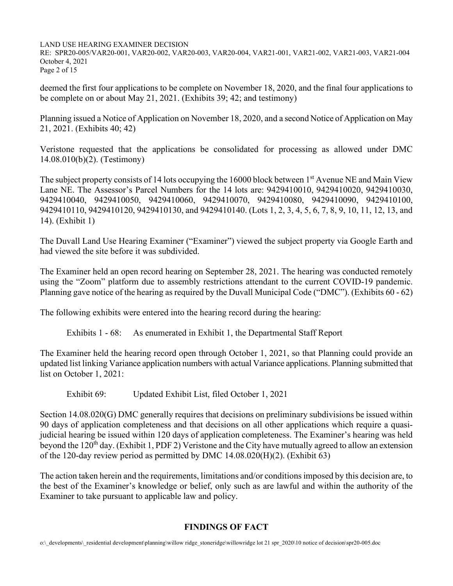RE: SPR20-005/VAR20-001, VAR20-002, VAR20-003, VAR20-004, VAR21-001, VAR21-002, VAR21-003, VAR21-004 October 4, 2021 Page 2 of 15

deemed the first four applications to be complete on November 18, 2020, and the final four applications to be complete on or about May 21, 2021. (Exhibits 39; 42; and testimony)

Planning issued a Notice of Application on November 18, 2020, and a second Notice of Application on May 21, 2021. (Exhibits 40; 42)

Veristone requested that the applications be consolidated for processing as allowed under DMC 14.08.010(b)(2). (Testimony)

The subject property consists of 14 lots occupying the 16000 block between 1<sup>st</sup> Avenue NE and Main View Lane NE. The Assessor's Parcel Numbers for the 14 lots are: 9429410010, 9429410020, 9429410030, 9429410040, 9429410050, 9429410060, 9429410070, 9429410080, 9429410090, 9429410100, 9429410110, 9429410120, 9429410130, and 9429410140. (Lots 1, 2, 3, 4, 5, 6, 7, 8, 9, 10, 11, 12, 13, and 14). (Exhibit 1)

The Duvall Land Use Hearing Examiner ("Examiner") viewed the subject property via Google Earth and had viewed the site before it was subdivided.

The Examiner held an open record hearing on September 28, 2021. The hearing was conducted remotely using the "Zoom" platform due to assembly restrictions attendant to the current COVID-19 pandemic. Planning gave notice of the hearing as required by the Duvall Municipal Code ("DMC"). (Exhibits 60 - 62)

The following exhibits were entered into the hearing record during the hearing:

Exhibits 1 - 68: As enumerated in Exhibit 1, the Departmental Staff Report

The Examiner held the hearing record open through October 1, 2021, so that Planning could provide an updated list linking Variance application numbers with actual Variance applications. Planning submitted that list on October 1, 2021:

Exhibit 69: Updated Exhibit List, filed October 1, 2021

Section 14.08.020(G) DMC generally requires that decisions on preliminary subdivisions be issued within 90 days of application completeness and that decisions on all other applications which require a quasijudicial hearing be issued within 120 days of application completeness. The Examiner's hearing was held beyond the 120<sup>th</sup> day. (Exhibit 1, PDF 2) Veristone and the City have mutually agreed to allow an extension of the 120-day review period as permitted by DMC 14.08.020(H)(2). (Exhibit 63)

The action taken herein and the requirements, limitations and/or conditions imposed by this decision are, to the best of the Examiner's knowledge or belief, only such as are lawful and within the authority of the Examiner to take pursuant to applicable law and policy.

## **FINDINGS OF FACT**

o:\\_developments\\_residential development\planning\willow ridge\_stoneridge\willowridge lot 21 spr\_2020\10 notice of decision\spr20-005.doc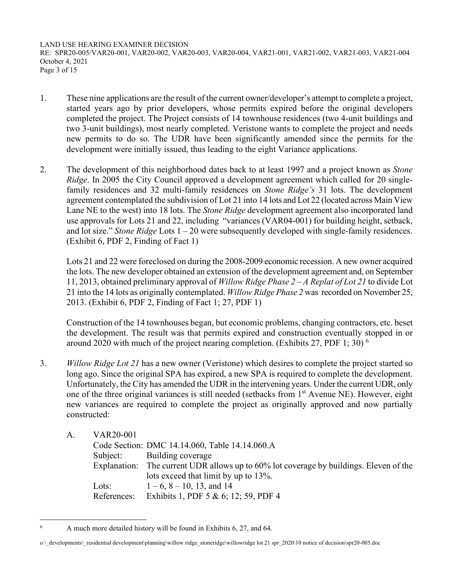LAND USE HEARING EXAMINER DECISION RE: SPR20-005/VAR20-001, VAR20-002, VAR20-003, VAR20-004, VAR21-001, VAR21-002, VAR21-003, VAR21-004 October 4, 2021 Page 3 of 15

- 1. These nine applications are the result of the current owner/developer's attempt to complete a project, started years ago by prior developers, whose permits expired before the original developers completed the project. The Project consists of 14 townhouse residences (two 4-unit buildings and two 3-unit buildings), most nearly completed. Veristone wants to complete the project and needs new permits to do so. The UDR have been significantly amended since the permits for the development were initially issued, thus leading to the eight Variance applications.
- 2. The development of this neighborhood dates back to at least 1997 and a project known as *Stone Ridge*. In 2005 the City Council approved a development agreement which called for 20 singlefamily residences and 32 multi-family residences on *Stone Ridge's* 31 lots. The development agreement contemplated the subdivision of Lot 21 into 14 lots and Lot 22 (located across Main View Lane NE to the west) into 18 lots. The *Stone Ridge* development agreement also incorporated land use approvals for Lots 21 and 22, including "variances (VAR04-001) for building height, setback, and lot size." *Stone Ridge* Lots 1 – 20 were subsequently developed with single-family residences. (Exhibit 6, PDF 2, Finding of Fact 1)

 Lots 21 and 22 were foreclosed on during the 2008-2009 economic recession. A new owner acquired the lots. The new developer obtained an extension of the development agreement and, on September 11, 2013, obtained preliminary approval of *Willow Ridge Phase 2 – A Replat of Lot 21* to divide Lot 21 into the 14 lots as originally contemplated. *Willow Ridge Phase 2* was recorded on November 25, 2013. (Exhibit 6, PDF 2, Finding of Fact 1; 27, PDF 1)

 Construction of the 14 townhouses began, but economic problems, changing contractors, etc. beset the development. The result was that permits expired and construction eventually stopped in or around 2020 with much of the project nearing completion. (Exhibits 27, PDF 1; 30)  $^6$ 

- 3. *Willow Ridge Lot 21* has a new owner (Veristone) which desires to complete the project started so long ago. Since the original SPA has expired, a new SPA is required to complete the development. Unfortunately, the City has amended the UDR in the intervening years. Under the current UDR, only one of the three original variances is still needed (setbacks from 1<sup>st</sup> Avenue NE). However, eight new variances are required to complete the project as originally approved and now partially constructed:
	- A. VAR20-001

|             | Code Section: DMC 14.14.060, Table 14.14.060.A                                         |
|-------------|----------------------------------------------------------------------------------------|
|             | Subject: Building coverage                                                             |
|             | Explanation: The current UDR allows up to 60% lot coverage by buildings. Eleven of the |
|             | lots exceed that limit by up to 13%.                                                   |
| Lots:       | $1-6$ , $8-10$ , 13, and 14                                                            |
| References: | Exhibits 1, PDF 5 & 6; 12; 59, PDF 4                                                   |

<sup>6</sup> A much more detailed history will be found in Exhibits 6, 27, and 64.

o:\\_developments\\_residential development\planning\willow ridge\_stoneridge\willowridge lot 21 spr\_2020\10 notice of decision\spr20-005.doc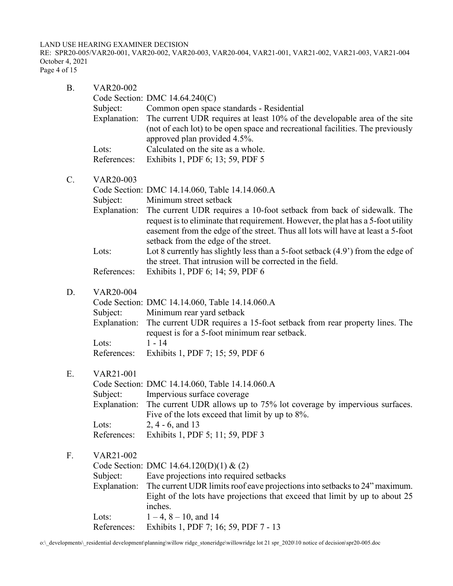RE: SPR20-005/VAR20-001, VAR20-002, VAR20-003, VAR20-004, VAR21-001, VAR21-002, VAR21-003, VAR21-004 October 4, 2021 Page 4 of 15

| <b>B.</b>      | VAR20-002<br>Subject:<br>Explanation:<br>Lots:<br>References: | Code Section: DMC 14.64.240(C)<br>Common open space standards - Residential<br>The current UDR requires at least 10% of the developable area of the site<br>(not of each lot) to be open space and recreational facilities. The previously<br>approved plan provided 4.5%.<br>Calculated on the site as a whole.<br>Exhibits 1, PDF 6; 13; 59, PDF 5                                                                                                                                                                                                    |
|----------------|---------------------------------------------------------------|---------------------------------------------------------------------------------------------------------------------------------------------------------------------------------------------------------------------------------------------------------------------------------------------------------------------------------------------------------------------------------------------------------------------------------------------------------------------------------------------------------------------------------------------------------|
| $\mathbf{C}$ . | VAR20-003<br>Subject:<br>Explanation:<br>Lots:<br>References: | Code Section: DMC 14.14.060, Table 14.14.060.A<br>Minimum street setback<br>The current UDR requires a 10-foot setback from back of sidewalk. The<br>request is to eliminate that requirement. However, the plat has a 5-foot utility<br>easement from the edge of the street. Thus all lots will have at least a 5-foot<br>setback from the edge of the street.<br>Lot 8 currently has slightly less than a 5-foot setback $(4.9')$ from the edge of<br>the street. That intrusion will be corrected in the field.<br>Exhibits 1, PDF 6; 14; 59, PDF 6 |
| D.             | VAR20-004<br>Subject:<br>Explanation:<br>Lots:<br>References: | Code Section: DMC 14.14.060, Table 14.14.060.A<br>Minimum rear yard setback<br>The current UDR requires a 15-foot setback from rear property lines. The<br>request is for a 5-foot minimum rear setback.<br>$1 - 14$<br>Exhibits 1, PDF 7; 15; 59, PDF 6                                                                                                                                                                                                                                                                                                |
| Ε.             | VAR21-001<br>Subject:<br>Explanation:<br>Lots:<br>References: | Code Section: DMC 14.14.060, Table 14.14.060.A<br>Impervious surface coverage<br>The current UDR allows up to 75% lot coverage by impervious surfaces.<br>Five of the lots exceed that limit by up to 8%.<br>$2, 4 - 6,$ and 13<br>Exhibits 1, PDF 5; 11; 59, PDF 3                                                                                                                                                                                                                                                                                     |
| F.             | VAR21-002<br>Subject:<br>Explanation:<br>Lots:<br>References: | Code Section: DMC 14.64.120(D)(1) & (2)<br>Eave projections into required setbacks<br>The current UDR limits roof eave projections into setbacks to 24" maximum.<br>Eight of the lots have projections that exceed that limit by up to about 25<br>inches.<br>$1-4$ , $8-10$ , and 14<br>Exhibits 1, PDF 7; 16; 59, PDF 7 - 13                                                                                                                                                                                                                          |

o:\\_developments\\_residential development\planning\willow ridge\_stoneridge\willowridge lot 21 spr\_2020\10 notice of decision\spr20-005.doc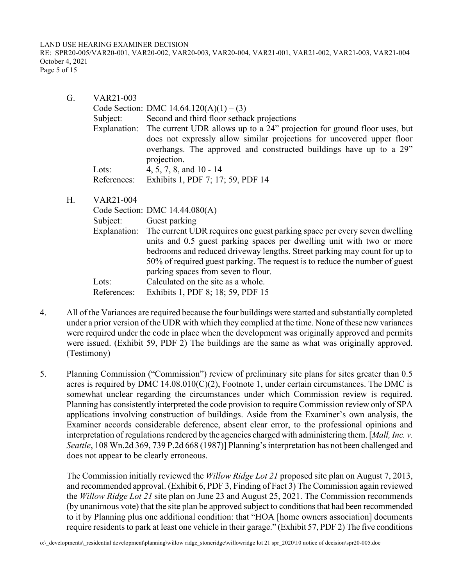RE: SPR20-005/VAR20-001, VAR20-002, VAR20-003, VAR20-004, VAR21-001, VAR21-002, VAR21-003, VAR21-004 October 4, 2021 Page 5 of 15

| G. | VAR21-003   |                                                                                                                                                             |
|----|-------------|-------------------------------------------------------------------------------------------------------------------------------------------------------------|
|    |             | Code Section: DMC $14.64.120(A)(1) - (3)$                                                                                                                   |
|    | Subject:    | Second and third floor setback projections                                                                                                                  |
|    |             | Explanation: The current UDR allows up to a 24" projection for ground floor uses, but                                                                       |
|    |             | does not expressly allow similar projections for uncovered upper floor<br>overhangs. The approved and constructed buildings have up to a 29"<br>projection. |
|    | Lots:       | 4, 5, 7, 8, and $10 - 14$                                                                                                                                   |
|    | References: | Exhibits 1, PDF 7; 17; 59, PDF 14                                                                                                                           |

H. VAR21-004

|             | Code Section: DMC 14.44.080(A)                                                         |
|-------------|----------------------------------------------------------------------------------------|
| Subject:    | Guest parking                                                                          |
|             | Explanation: The current UDR requires one guest parking space per every seven dwelling |
|             | units and 0.5 guest parking spaces per dwelling unit with two or more                  |
|             | bedrooms and reduced driveway lengths. Street parking may count for up to              |
|             | 50% of required guest parking. The request is to reduce the number of guest            |
|             | parking spaces from seven to flour.                                                    |
| Lots:       | Calculated on the site as a whole.                                                     |
| References: | Exhibits 1, PDF 8; 18; 59, PDF 15                                                      |
|             |                                                                                        |

- 4. All of the Variances are required because the four buildings were started and substantially completed under a prior version of the UDR with which they complied at the time. None of these new variances were required under the code in place when the development was originally approved and permits were issued. (Exhibit 59, PDF 2) The buildings are the same as what was originally approved. (Testimony)
- 5. Planning Commission ("Commission") review of preliminary site plans for sites greater than 0.5 acres is required by DMC  $14.08.010(C)(2)$ , Footnote 1, under certain circumstances. The DMC is somewhat unclear regarding the circumstances under which Commission review is required. Planning has consistently interpreted the code provision to require Commission review only of SPA applications involving construction of buildings. Aside from the Examiner's own analysis, the Examiner accords considerable deference, absent clear error, to the professional opinions and interpretation of regulations rendered by the agencies charged with administering them. [*Mall, Inc. v. Seattle*, 108 Wn.2d 369, 739 P.2d 668 (1987)] Planning's interpretation has not been challenged and does not appear to be clearly erroneous.

 The Commission initially reviewed the *Willow Ridge Lot 21* proposed site plan on August 7, 2013, and recommended approval. (Exhibit 6, PDF 3, Finding of Fact 3) The Commission again reviewed the *Willow Ridge Lot 21* site plan on June 23 and August 25, 2021. The Commission recommends (by unanimous vote) that the site plan be approved subject to conditions that had been recommended to it by Planning plus one additional condition: that "HOA [home owners association] documents require residents to park at least one vehicle in their garage." (Exhibit 57, PDF 2) The five conditions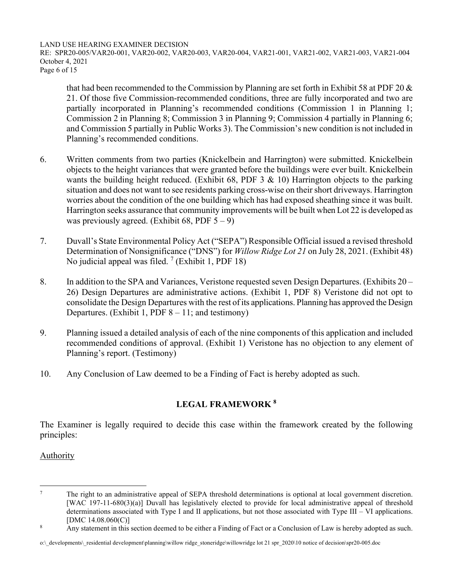RE: SPR20-005/VAR20-001, VAR20-002, VAR20-003, VAR20-004, VAR21-001, VAR21-002, VAR21-003, VAR21-004 October 4, 2021 Page 6 of 15

that had been recommended to the Commission by Planning are set forth in Exhibit 58 at PDF 20 & 21. Of those five Commission-recommended conditions, three are fully incorporated and two are partially incorporated in Planning's recommended conditions (Commission 1 in Planning 1; Commission 2 in Planning 8; Commission 3 in Planning 9; Commission 4 partially in Planning 6; and Commission 5 partially in Public Works 3). The Commission's new condition is not included in Planning's recommended conditions.

- 6. Written comments from two parties (Knickelbein and Harrington) were submitted. Knickelbein objects to the height variances that were granted before the buildings were ever built. Knickelbein wants the building height reduced. (Exhibit 68, PDF 3  $\&$  10) Harrington objects to the parking situation and does not want to see residents parking cross-wise on their short driveways. Harrington worries about the condition of the one building which has had exposed sheathing since it was built. Harrington seeks assurance that community improvements will be built when Lot 22 is developed as was previously agreed. (Exhibit 68, PDF  $5 - 9$ )
- 7. Duvall's State Environmental Policy Act ("SEPA") Responsible Official issued a revised threshold Determination of Nonsignificance ("DNS") for *Willow Ridge Lot 21* on July 28, 2021. (Exhibit 48) No judicial appeal was filed.<sup>7</sup> (Exhibit 1, PDF 18)
- 8. In addition to the SPA and Variances, Veristone requested seven Design Departures. (Exhibits 20 26) Design Departures are administrative actions. (Exhibit 1, PDF 8) Veristone did not opt to consolidate the Design Departures with the rest of its applications. Planning has approved the Design Departures. (Exhibit 1, PDF  $8 - 11$ ; and testimony)
- 9. Planning issued a detailed analysis of each of the nine components of this application and included recommended conditions of approval. (Exhibit 1) Veristone has no objection to any element of Planning's report. (Testimony)
- 10. Any Conclusion of Law deemed to be a Finding of Fact is hereby adopted as such.

## **LEGAL FRAMEWORK <sup>8</sup>**

The Examiner is legally required to decide this case within the framework created by the following principles:

## **Authority**

<sup>7</sup> The right to an administrative appeal of SEPA threshold determinations is optional at local government discretion. [WAC 197-11-680(3)(a)] Duvall has legislatively elected to provide for local administrative appeal of threshold determinations associated with Type I and II applications, but not those associated with Type III – VI applications. [DMC 14.08.060(C)]

<sup>8</sup> Any statement in this section deemed to be either a Finding of Fact or a Conclusion of Law is hereby adopted as such.

o:\\_developments\\_residential development\planning\willow ridge\_stoneridge\willowridge lot 21 spr\_2020\10 notice of decision\spr20-005.doc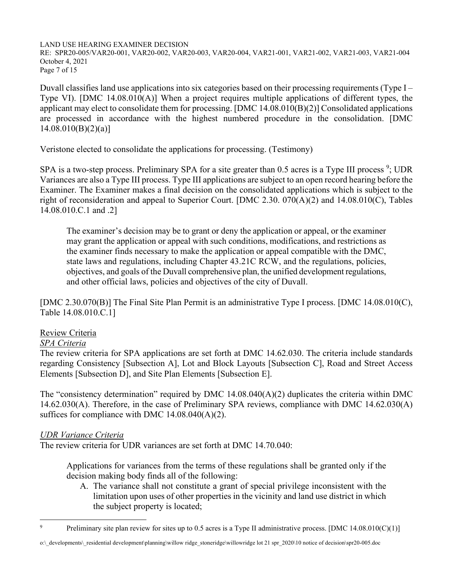RE: SPR20-005/VAR20-001, VAR20-002, VAR20-003, VAR20-004, VAR21-001, VAR21-002, VAR21-003, VAR21-004 October 4, 2021 Page 7 of 15

Duvall classifies land use applications into six categories based on their processing requirements (Type I – Type VI). [DMC 14.08.010(A)] When a project requires multiple applications of different types, the applicant may elect to consolidate them for processing. [DMC 14.08.010(B)(2)] Consolidated applications are processed in accordance with the highest numbered procedure in the consolidation. [DMC  $14.08.010(B)(2)(a)$ ]

Veristone elected to consolidate the applications for processing. (Testimony)

SPA is a two-step process. Preliminary SPA for a site greater than  $0.5$  acres is a Type III process<sup>9</sup>; UDR Variances are also a Type III process. Type III applications are subject to an open record hearing before the Examiner. The Examiner makes a final decision on the consolidated applications which is subject to the right of reconsideration and appeal to Superior Court. [DMC 2.30. 070(A)(2) and 14.08.010(C), Tables 14.08.010.C.1 and .2]

The examiner's decision may be to grant or deny the application or appeal, or the examiner may grant the application or appeal with such conditions, modifications, and restrictions as the examiner finds necessary to make the application or appeal compatible with the DMC, state laws and regulations, including Chapter 43.21C RCW, and the regulations, policies, objectives, and goals of the Duvall comprehensive plan, the unified development regulations, and other official laws, policies and objectives of the city of Duvall.

[DMC 2.30.070(B)] The Final Site Plan Permit is an administrative Type I process. [DMC 14.08.010(C), Table 14.08.010.C.1]

## Review Criteria

## *SPA Criteria*

The review criteria for SPA applications are set forth at DMC 14.62.030. The criteria include standards regarding Consistency [Subsection A], Lot and Block Layouts [Subsection C], Road and Street Access Elements [Subsection D], and Site Plan Elements [Subsection E].

The "consistency determination" required by DMC 14.08.040(A)(2) duplicates the criteria within DMC 14.62.030(A). Therefore, in the case of Preliminary SPA reviews, compliance with DMC 14.62.030(A) suffices for compliance with DMC 14.08.040(A)(2).

## *UDR Variance Criteria*

The review criteria for UDR variances are set forth at DMC 14.70.040:

Applications for variances from the terms of these regulations shall be granted only if the decision making body finds all of the following:

A. The variance shall not constitute a grant of special privilege inconsistent with the limitation upon uses of other properties in the vicinity and land use district in which the subject property is located;

<sup>9</sup> Preliminary site plan review for sites up to 0.5 acres is a Type II administrative process. [DMC 14.08.010(C)(1)]

o:\\_developments\\_residential development\planning\willow ridge\_stoneridge\willowridge lot 21 spr\_2020\10 notice of decision\spr20-005.doc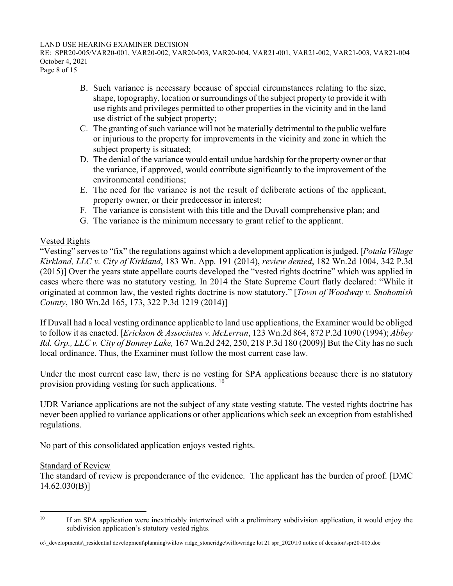RE: SPR20-005/VAR20-001, VAR20-002, VAR20-003, VAR20-004, VAR21-001, VAR21-002, VAR21-003, VAR21-004 October 4, 2021

Page 8 of 15

- B. Such variance is necessary because of special circumstances relating to the size, shape, topography, location or surroundings of the subject property to provide it with use rights and privileges permitted to other properties in the vicinity and in the land use district of the subject property;
- C. The granting of such variance will not be materially detrimental to the public welfare or injurious to the property for improvements in the vicinity and zone in which the subject property is situated;
- D. The denial of the variance would entail undue hardship for the property owner or that the variance, if approved, would contribute significantly to the improvement of the environmental conditions;
- E. The need for the variance is not the result of deliberate actions of the applicant, property owner, or their predecessor in interest;
- F. The variance is consistent with this title and the Duvall comprehensive plan; and
- G. The variance is the minimum necessary to grant relief to the applicant.

## Vested Rights

"Vesting" serves to "fix" the regulations against which a development application is judged. [*Potala Village Kirkland, LLC v. City of Kirkland*, 183 Wn. App. 191 (2014), *review denied*, 182 Wn.2d 1004, 342 P.3d (2015)] Over the years state appellate courts developed the "vested rights doctrine" which was applied in cases where there was no statutory vesting. In 2014 the State Supreme Court flatly declared: "While it originated at common law, the vested rights doctrine is now statutory." [*Town of Woodway v. Snohomish County*, 180 Wn.2d 165, 173, 322 P.3d 1219 (2014)]

If Duvall had a local vesting ordinance applicable to land use applications, the Examiner would be obliged to follow it as enacted. [*Erickson & Associates v. McLerran*, 123 Wn.2d 864, 872 P.2d 1090 (1994); *Abbey Rd. Grp., LLC v. City of Bonney Lake,* 167 Wn.2d 242, 250, 218 P.3d 180 (2009)] But the City has no such local ordinance. Thus, the Examiner must follow the most current case law.

Under the most current case law, there is no vesting for SPA applications because there is no statutory provision providing vesting for such applications. <sup>10</sup>

UDR Variance applications are not the subject of any state vesting statute. The vested rights doctrine has never been applied to variance applications or other applications which seek an exception from established regulations.

No part of this consolidated application enjoys vested rights.

## Standard of Review

The standard of review is preponderance of the evidence. The applicant has the burden of proof. [DMC 14.62.030(B)]

 $10$  If an SPA application were inextricably intertwined with a preliminary subdivision application, it would enjoy the subdivision application's statutory vested rights.

o:\\_developments\\_residential development\planning\willow ridge\_stoneridge\willowridge lot 21 spr\_2020\10 notice of decision\spr20-005.doc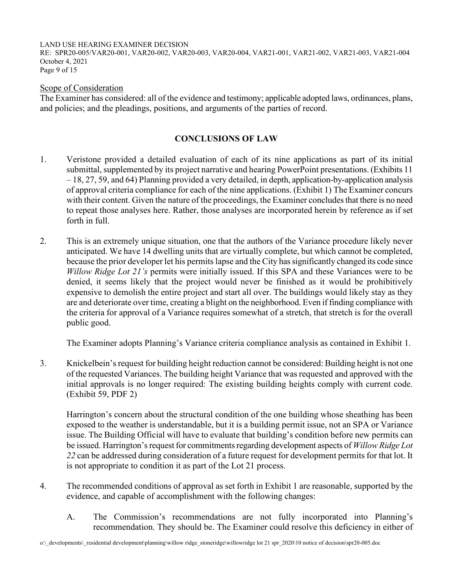RE: SPR20-005/VAR20-001, VAR20-002, VAR20-003, VAR20-004, VAR21-001, VAR21-002, VAR21-003, VAR21-004 October 4, 2021 Page 9 of 15

## Scope of Consideration

The Examiner has considered: all of the evidence and testimony; applicable adopted laws, ordinances, plans, and policies; and the pleadings, positions, and arguments of the parties of record.

## **CONCLUSIONS OF LAW**

- 1. Veristone provided a detailed evaluation of each of its nine applications as part of its initial submittal, supplemented by its project narrative and hearing PowerPoint presentations. (Exhibits 11 – 18, 27, 59, and 64) Planning provided a very detailed, in depth, application-by-application analysis of approval criteria compliance for each of the nine applications. (Exhibit 1) The Examiner concurs with their content. Given the nature of the proceedings, the Examiner concludes that there is no need to repeat those analyses here. Rather, those analyses are incorporated herein by reference as if set forth in full.
- 2. This is an extremely unique situation, one that the authors of the Variance procedure likely never anticipated. We have 14 dwelling units that are virtually complete, but which cannot be completed, because the prior developer let his permits lapse and the City has significantly changed its code since *Willow Ridge Lot 21's* permits were initially issued. If this SPA and these Variances were to be denied, it seems likely that the project would never be finished as it would be prohibitively expensive to demolish the entire project and start all over. The buildings would likely stay as they are and deteriorate over time, creating a blight on the neighborhood. Even if finding compliance with the criteria for approval of a Variance requires somewhat of a stretch, that stretch is for the overall public good.

The Examiner adopts Planning's Variance criteria compliance analysis as contained in Exhibit 1.

3. Knickelbein's request for building height reduction cannot be considered: Building height is not one of the requested Variances. The building height Variance that was requested and approved with the initial approvals is no longer required: The existing building heights comply with current code. (Exhibit 59, PDF 2)

 Harrington's concern about the structural condition of the one building whose sheathing has been exposed to the weather is understandable, but it is a building permit issue, not an SPA or Variance issue. The Building Official will have to evaluate that building's condition before new permits can be issued. Harrington's request for commitments regarding development aspects of *Willow Ridge Lot 22* can be addressed during consideration of a future request for development permits for that lot. It is not appropriate to condition it as part of the Lot 21 process.

- 4. The recommended conditions of approval as set forth in Exhibit 1 are reasonable, supported by the evidence, and capable of accomplishment with the following changes:
	- A. The Commission's recommendations are not fully incorporated into Planning's recommendation. They should be. The Examiner could resolve this deficiency in either of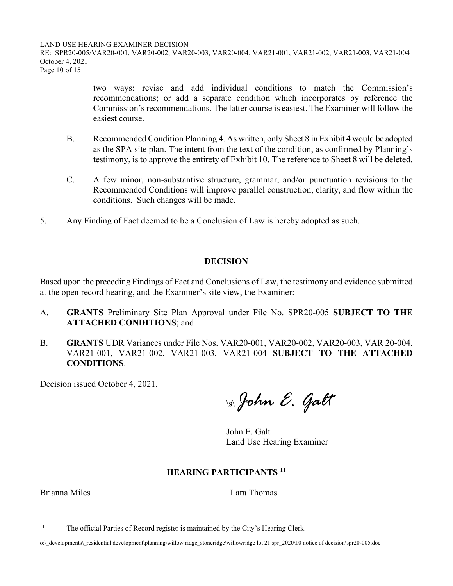RE: SPR20-005/VAR20-001, VAR20-002, VAR20-003, VAR20-004, VAR21-001, VAR21-002, VAR21-003, VAR21-004 October 4, 2021 Page 10 of 15

> two ways: revise and add individual conditions to match the Commission's recommendations; or add a separate condition which incorporates by reference the Commission's recommendations. The latter course is easiest. The Examiner will follow the easiest course.

- B. Recommended Condition Planning 4. As written, only Sheet 8 in Exhibit 4 would be adopted as the SPA site plan. The intent from the text of the condition, as confirmed by Planning's testimony, is to approve the entirety of Exhibit 10. The reference to Sheet 8 will be deleted.
- C. A few minor, non-substantive structure, grammar, and/or punctuation revisions to the Recommended Conditions will improve parallel construction, clarity, and flow within the conditions. Such changes will be made.
- 5. Any Finding of Fact deemed to be a Conclusion of Law is hereby adopted as such.

## **DECISION**

Based upon the preceding Findings of Fact and Conclusions of Law, the testimony and evidence submitted at the open record hearing, and the Examiner's site view, the Examiner:

- A. **GRANTS** Preliminary Site Plan Approval under File No. SPR20-005 **SUBJECT TO THE ATTACHED CONDITIONS**; and
- B. **GRANTS** UDR Variances under File Nos. VAR20-001, VAR20-002, VAR20-003, VAR 20-004, VAR21-001, VAR21-002, VAR21-003, VAR21-004 **SUBJECT TO THE ATTACHED CONDITIONS**.

Decision issued October 4, 2021.

\s\ *John E. Galt* 

John E. Galt Land Use Hearing Examiner

## **HEARING PARTICIPANTS <sup>11</sup>**

Brianna Miles **Lara Thomas** 

<sup>&</sup>lt;sup>11</sup> The official Parties of Record register is maintained by the City's Hearing Clerk.

o:\\_developments\\_residential development\planning\willow ridge\_stoneridge\willowridge lot 21 spr\_2020\10 notice of decision\spr20-005.doc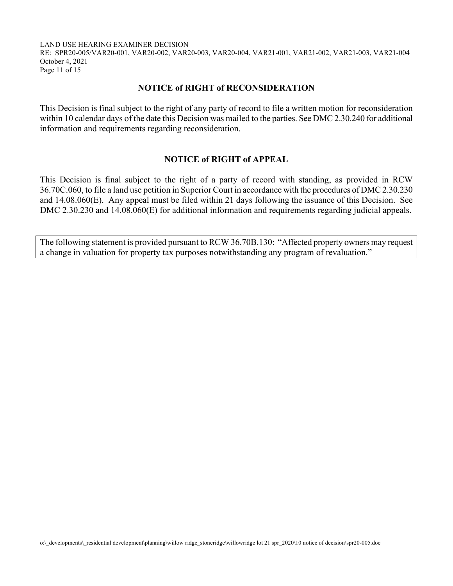RE: SPR20-005/VAR20-001, VAR20-002, VAR20-003, VAR20-004, VAR21-001, VAR21-002, VAR21-003, VAR21-004 October 4, 2021 Page 11 of 15

## **NOTICE of RIGHT of RECONSIDERATION**

This Decision is final subject to the right of any party of record to file a written motion for reconsideration within 10 calendar days of the date this Decision was mailed to the parties. See DMC 2.30.240 for additional information and requirements regarding reconsideration.

## **NOTICE of RIGHT of APPEAL**

This Decision is final subject to the right of a party of record with standing, as provided in RCW 36.70C.060, to file a land use petition in Superior Court in accordance with the procedures of DMC 2.30.230 and 14.08.060(E). Any appeal must be filed within 21 days following the issuance of this Decision. See DMC 2.30.230 and 14.08.060(E) for additional information and requirements regarding judicial appeals.

The following statement is provided pursuant to RCW 36.70B.130: "Affected property owners may request a change in valuation for property tax purposes notwithstanding any program of revaluation."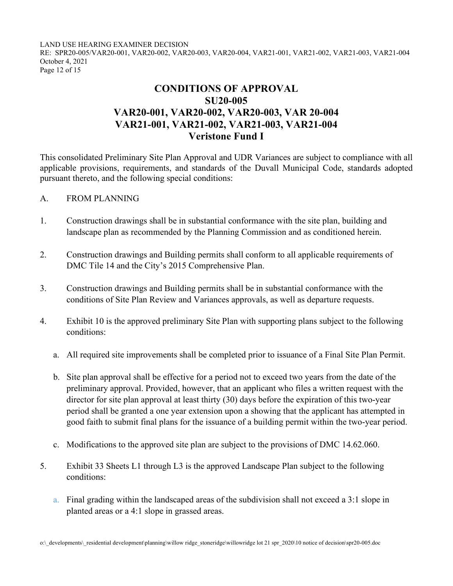RE: SPR20-005/VAR20-001, VAR20-002, VAR20-003, VAR20-004, VAR21-001, VAR21-002, VAR21-003, VAR21-004 October 4, 2021 Page 12 of 15

# **CONDITIONS OF APPROVAL SU20-005 VAR20-001, VAR20-002, VAR20-003, VAR 20-004 VAR21-001, VAR21-002, VAR21-003, VAR21-004 Veristone Fund I**

This consolidated Preliminary Site Plan Approval and UDR Variances are subject to compliance with all applicable provisions, requirements, and standards of the Duvall Municipal Code, standards adopted pursuant thereto, and the following special conditions:

### A. FROM PLANNING

- 1. Construction drawings shall be in substantial conformance with the site plan, building and landscape plan as recommended by the Planning Commission and as conditioned herein.
- 2. Construction drawings and Building permits shall conform to all applicable requirements of DMC Tile 14 and the City's 2015 Comprehensive Plan.
- 3. Construction drawings and Building permits shall be in substantial conformance with the conditions of Site Plan Review and Variances approvals, as well as departure requests.
- 4. Exhibit 10 is the approved preliminary Site Plan with supporting plans subject to the following conditions:
	- a. All required site improvements shall be completed prior to issuance of a Final Site Plan Permit.
	- b. Site plan approval shall be effective for a period not to exceed two years from the date of the preliminary approval. Provided, however, that an applicant who files a written request with the director for site plan approval at least thirty (30) days before the expiration of this two-year period shall be granted a one year extension upon a showing that the applicant has attempted in good faith to submit final plans for the issuance of a building permit within the two-year period.
	- c. Modifications to the approved site plan are subject to the provisions of DMC 14.62.060.
- 5. Exhibit 33 Sheets L1 through L3 is the approved Landscape Plan subject to the following conditions:
	- a. Final grading within the landscaped areas of the subdivision shall not exceed a 3:1 slope in planted areas or a 4:1 slope in grassed areas.

o:\\_developments\\_residential development\planning\willow ridge\_stoneridge\willowridge lot 21 spr\_2020\10 notice of decision\spr20-005.doc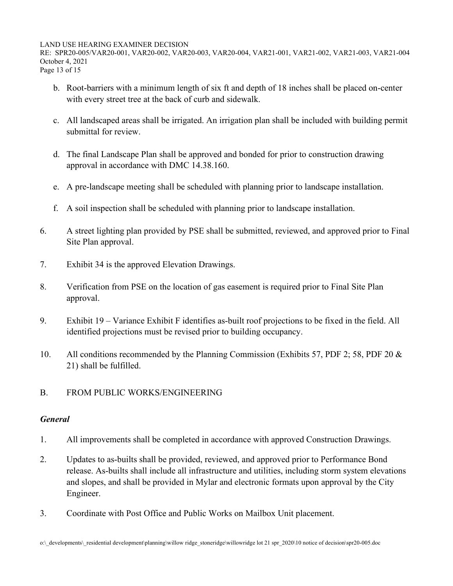RE: SPR20-005/VAR20-001, VAR20-002, VAR20-003, VAR20-004, VAR21-001, VAR21-002, VAR21-003, VAR21-004 October 4, 2021 Page 13 of 15

- b. Root-barriers with a minimum length of six ft and depth of 18 inches shall be placed on-center with every street tree at the back of curb and sidewalk.
- c. All landscaped areas shall be irrigated. An irrigation plan shall be included with building permit submittal for review.
- d. The final Landscape Plan shall be approved and bonded for prior to construction drawing approval in accordance with DMC 14.38.160.
- e. A pre-landscape meeting shall be scheduled with planning prior to landscape installation.
- f. A soil inspection shall be scheduled with planning prior to landscape installation.
- 6. A street lighting plan provided by PSE shall be submitted, reviewed, and approved prior to Final Site Plan approval.
- 7. Exhibit 34 is the approved Elevation Drawings.
- 8. Verification from PSE on the location of gas easement is required prior to Final Site Plan approval.
- 9. Exhibit 19 Variance Exhibit F identifies as-built roof projections to be fixed in the field. All identified projections must be revised prior to building occupancy.
- 10. All conditions recommended by the Planning Commission (Exhibits 57, PDF 2; 58, PDF 20 & 21) shall be fulfilled.
- B. FROM PUBLIC WORKS/ENGINEERING

## *General*

- 1. All improvements shall be completed in accordance with approved Construction Drawings.
- 2. Updates to as-builts shall be provided, reviewed, and approved prior to Performance Bond release. As-builts shall include all infrastructure and utilities, including storm system elevations and slopes, and shall be provided in Mylar and electronic formats upon approval by the City Engineer.
- 3. Coordinate with Post Office and Public Works on Mailbox Unit placement.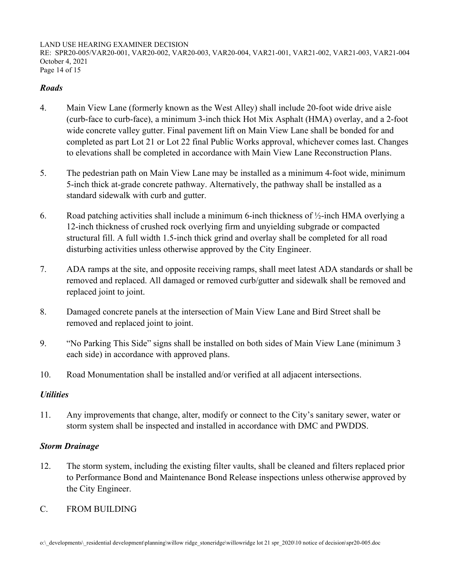RE: SPR20-005/VAR20-001, VAR20-002, VAR20-003, VAR20-004, VAR21-001, VAR21-002, VAR21-003, VAR21-004 October 4, 2021 Page 14 of 15

## *Roads*

- 4. Main View Lane (formerly known as the West Alley) shall include 20-foot wide drive aisle (curb-face to curb-face), a minimum 3-inch thick Hot Mix Asphalt (HMA) overlay, and a 2-foot wide concrete valley gutter. Final pavement lift on Main View Lane shall be bonded for and completed as part Lot 21 or Lot 22 final Public Works approval, whichever comes last. Changes to elevations shall be completed in accordance with Main View Lane Reconstruction Plans.
- 5. The pedestrian path on Main View Lane may be installed as a minimum 4-foot wide, minimum 5-inch thick at-grade concrete pathway. Alternatively, the pathway shall be installed as a standard sidewalk with curb and gutter.
- 6. Road patching activities shall include a minimum 6-inch thickness of ½-inch HMA overlying a 12-inch thickness of crushed rock overlying firm and unyielding subgrade or compacted structural fill. A full width 1.5-inch thick grind and overlay shall be completed for all road disturbing activities unless otherwise approved by the City Engineer.
- 7. ADA ramps at the site, and opposite receiving ramps, shall meet latest ADA standards or shall be removed and replaced. All damaged or removed curb/gutter and sidewalk shall be removed and replaced joint to joint.
- 8. Damaged concrete panels at the intersection of Main View Lane and Bird Street shall be removed and replaced joint to joint.
- 9. "No Parking This Side" signs shall be installed on both sides of Main View Lane (minimum 3 each side) in accordance with approved plans.
- 10. Road Monumentation shall be installed and/or verified at all adjacent intersections.

## *Utilities*

11. Any improvements that change, alter, modify or connect to the City's sanitary sewer, water or storm system shall be inspected and installed in accordance with DMC and PWDDS.

# *Storm Drainage*

- 12. The storm system, including the existing filter vaults, shall be cleaned and filters replaced prior to Performance Bond and Maintenance Bond Release inspections unless otherwise approved by the City Engineer.
- C. FROM BUILDING